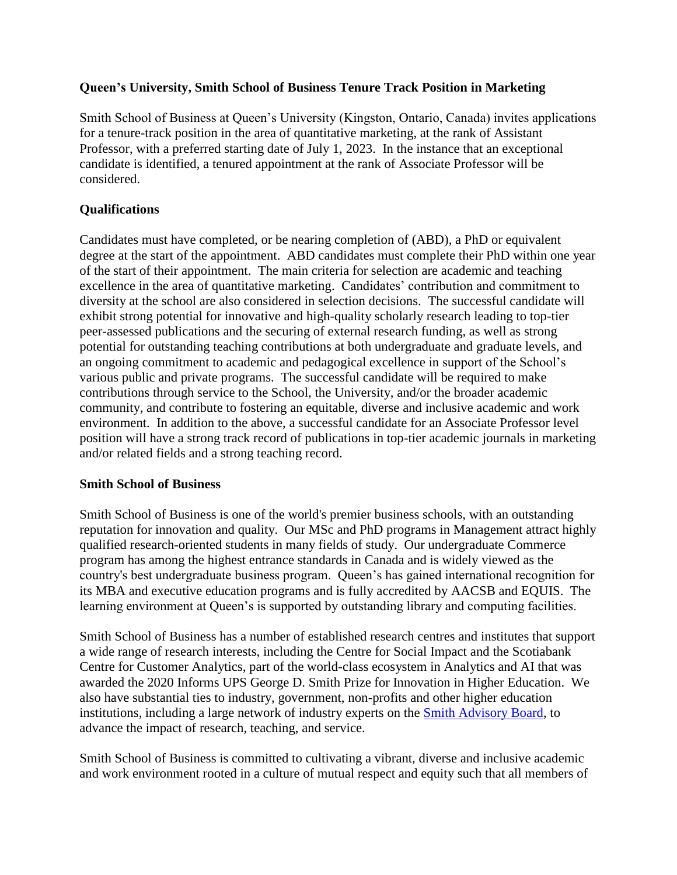## **Queen's University, Smith School of Business Tenure Track Position in Marketing**

Smith School of Business at Queen's University (Kingston, Ontario, Canada) invites applications for a tenure-track position in the area of quantitative marketing, at the rank of Assistant Professor, with a preferred starting date of July 1, 2023. In the instance that an exceptional candidate is identified, a tenured appointment at the rank of Associate Professor will be considered.

# **Qualifications**

Candidates must have completed, or be nearing completion of (ABD), a PhD or equivalent degree at the start of the appointment. ABD candidates must complete their PhD within one year of the start of their appointment. The main criteria for selection are academic and teaching excellence in the area of quantitative marketing. Candidates' contribution and commitment to diversity at the school are also considered in selection decisions. The successful candidate will exhibit strong potential for innovative and high-quality scholarly research leading to top-tier peer-assessed publications and the securing of external research funding, as well as strong potential for outstanding teaching contributions at both undergraduate and graduate levels, and an ongoing commitment to academic and pedagogical excellence in support of the School's various public and private programs. The successful candidate will be required to make contributions through service to the School, the University, and/or the broader academic community, and contribute to fostering an equitable, diverse and inclusive academic and work environment. In addition to the above, a successful candidate for an Associate Professor level position will have a strong track record of publications in top-tier academic journals in marketing and/or related fields and a strong teaching record.

# **Smith School of Business**

Smith School of Business is one of the world's premier business schools, with an outstanding reputation for innovation and quality. Our MSc and PhD programs in Management attract highly qualified research-oriented students in many fields of study. Our undergraduate Commerce program has among the highest entrance standards in Canada and is widely viewed as the country's best undergraduate business program. Queen's has gained international recognition for its MBA and executive education programs and is fully accredited by AACSB and EQUIS. The learning environment at Queen's is supported by outstanding library and computing facilities.

Smith School of Business has a number of established research centres and institutes that support a wide range of research interests, including the Centre for Social Impact and the Scotiabank Centre for Customer Analytics, part of the world-class ecosystem in Analytics and AI that was awarded the 2020 Informs UPS George D. Smith Prize for Innovation in Higher Education. We also have substantial ties to industry, government, non-profits and other higher education institutions, including a large network of industry experts on the [Smith Advisory Board,](https://smith.queensu.ca/about/advisory_bodies.php) to advance the impact of research, teaching, and service.

Smith School of Business is committed to cultivating a vibrant, diverse and inclusive academic and work environment rooted in a culture of mutual respect and equity such that all members of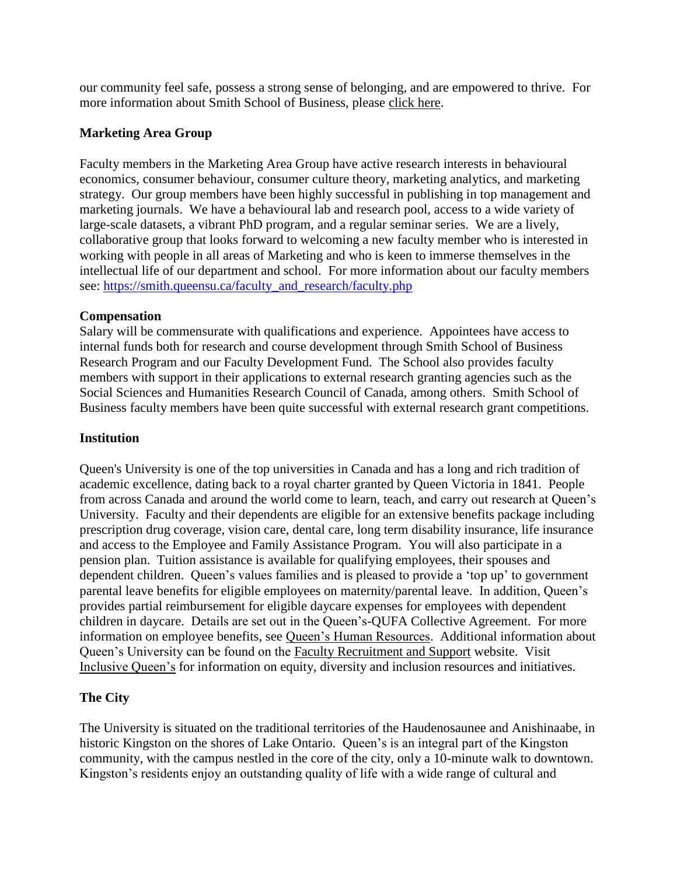our community feel safe, possess a strong sense of belonging, and are empowered to thrive. For more information about Smith School of Business, please [click here.](https://smith.queensu.ca/index.php)

## **Marketing Area Group**

Faculty members in the Marketing Area Group have active research interests in behavioural economics, consumer behaviour, consumer culture theory, marketing analytics, and marketing strategy. Our group members have been highly successful in publishing in top management and marketing journals. We have a behavioural lab and research pool, access to a wide variety of large-scale datasets, a vibrant PhD program, and a regular seminar series. We are a lively, collaborative group that looks forward to welcoming a new faculty member who is interested in working with people in all areas of Marketing and who is keen to immerse themselves in the intellectual life of our department and school. For more information about our faculty members see: [https://smith.queensu.ca/faculty\\_and\\_research/faculty.php](https://smith.queensu.ca/faculty_and_research/faculty.php)

## **Compensation**

Salary will be commensurate with qualifications and experience. Appointees have access to internal funds both for research and course development through Smith School of Business Research Program and our Faculty Development Fund. The School also provides faculty members with support in their applications to external research granting agencies such as the Social Sciences and Humanities Research Council of Canada, among others. Smith School of Business faculty members have been quite successful with external research grant competitions.

#### **Institution**

Queen's University is one of the top universities in Canada and has a long and rich tradition of academic excellence, dating back to a royal charter granted by Queen Victoria in 1841. People from across Canada and around the world come to learn, teach, and carry out research at Queen's University. Faculty and their dependents are eligible for an extensive benefits package including prescription drug coverage, vision care, dental care, long term disability insurance, life insurance and access to the Employee and Family Assistance Program. You will also participate in a pension plan. Tuition assistance is available for qualifying employees, their spouses and dependent children. Queen's values families and is pleased to provide a 'top up' to government parental leave benefits for eligible employees on maternity/parental leave. In addition, Queen's provides partial reimbursement for eligible daycare expenses for employees with dependent children in daycare. Details are set out in the Queen's-QUFA Collective Agreement. For more information on employee benefits, see [Queen's Human Resources.](http://www.queensu.ca/humanresources/) Additional information about Queen's University can be found on the [Faculty Recruitment and Support](http://www.queensu.ca/facultyrecruitment) website. Visit [Inclusive Queen's](https://www.queensu.ca/inclusive/content/home) for information on equity, diversity and inclusion resources and initiatives.

# **The City**

The University is situated on the traditional territories of the Haudenosaunee and Anishinaabe, in historic Kingston on the shores of Lake Ontario. Queen's is an integral part of the Kingston community, with the campus nestled in the core of the city, only a 10-minute walk to downtown. Kingston's residents enjoy an outstanding quality of life with a wide range of cultural and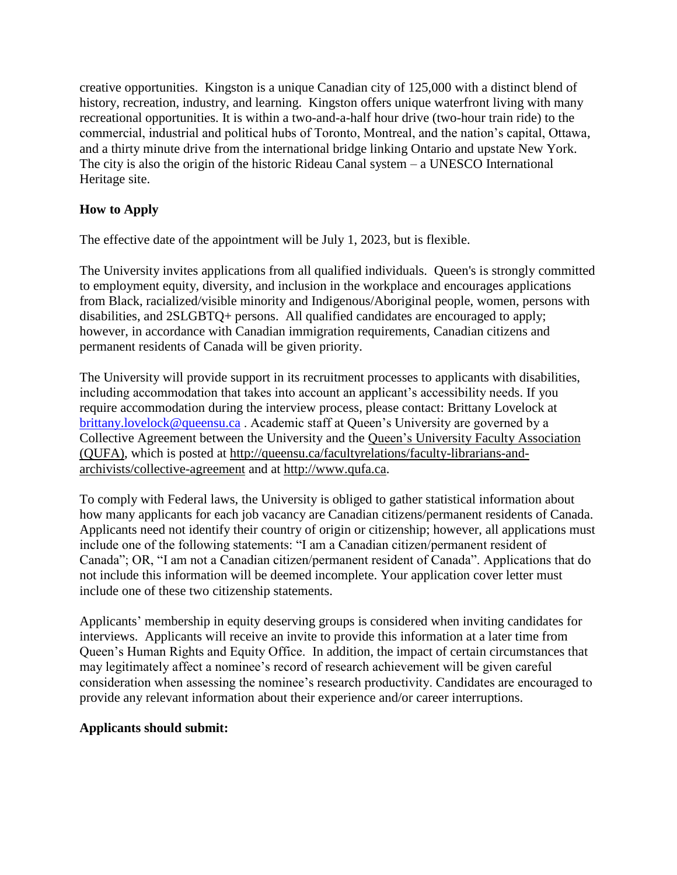creative opportunities. Kingston is a unique Canadian city of 125,000 with a distinct blend of history, recreation, industry, and learning. Kingston offers unique waterfront living with many recreational opportunities. It is within a two-and-a-half hour drive (two-hour train ride) to the commercial, industrial and political hubs of Toronto, Montreal, and the nation's capital, Ottawa, and a thirty minute drive from the international bridge linking Ontario and upstate New York. The city is also the origin of the historic Rideau Canal system  $-$  a UNESCO International Heritage site.

# **How to Apply**

The effective date of the appointment will be July 1, 2023, but is flexible.

The University invites applications from all qualified individuals. Queen's is strongly committed to employment equity, diversity, and inclusion in the workplace and encourages applications from Black, racialized/visible minority and Indigenous/Aboriginal people, women, persons with disabilities, and 2SLGBTQ+ persons. All qualified candidates are encouraged to apply; however, in accordance with Canadian immigration requirements, Canadian citizens and permanent residents of Canada will be given priority.

The University will provide support in its recruitment processes to applicants with disabilities, including accommodation that takes into account an applicant's accessibility needs. If you require accommodation during the interview process, please contact: Brittany Lovelock at [brittany.lovelock@queensu.ca](mailto:brittany.lovelock@queensu.ca) . Academic staff at Queen's University are governed by a Collective Agreement between the University and the Queen's University Faculty [Association](http://www.qufa.ca/) [\(QUFA\),](http://www.qufa.ca/) which is posted at [http://queensu.ca/facultyrelations/faculty-librarians-and](http://queensu.ca/facultyrelations/faculty-librarians-and-archivists/collective-agreement)[archivists/collective-agreement](http://queensu.ca/facultyrelations/faculty-librarians-and-archivists/collective-agreement) and at [http://www.qufa.ca.](http://www.qufa.ca/)

To comply with Federal laws, the University is obliged to gather statistical information about how many applicants for each job vacancy are Canadian citizens/permanent residents of Canada. Applicants need not identify their country of origin or citizenship; however, all applications must include one of the following statements: "I am a Canadian citizen/permanent resident of Canada"; OR, "I am not a Canadian citizen/permanent resident of Canada". Applications that do not include this information will be deemed incomplete. Your application cover letter must include one of these two citizenship statements.

Applicants' membership in equity deserving groups is considered when inviting candidates for interviews. Applicants will receive an invite to provide this information at a later time from Queen's Human Rights and Equity Office. In addition, the impact of certain circumstances that may legitimately affect a nominee's record of research achievement will be given careful consideration when assessing the nominee's research productivity. Candidates are encouraged to provide any relevant information about their experience and/or career interruptions.

#### **Applicants should submit:**